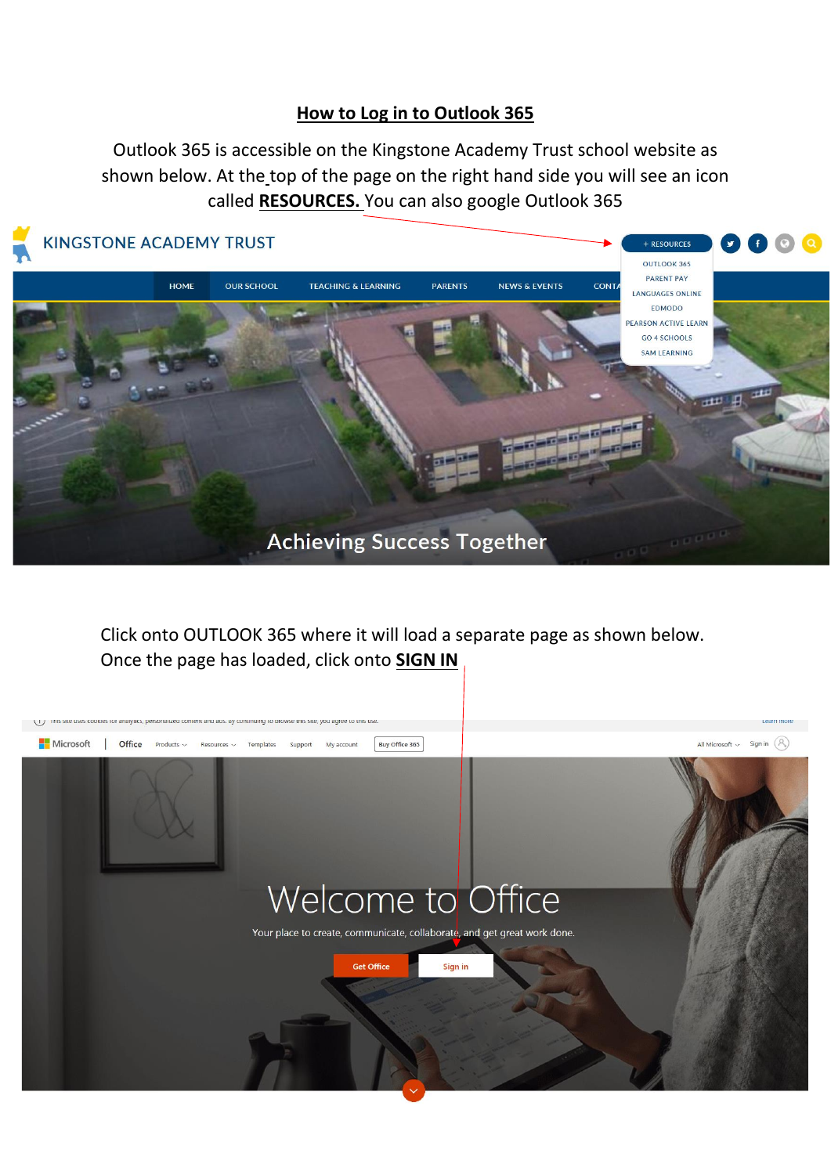## **How to Log in to Outlook 365**

Outlook 365 is accessible on the Kingstone Academy Trust school website as shown below. At the top of the page on the right hand side you will see an icon called **RESOURCES.** You can also google Outlook 365



Click onto OUTLOOK 365 where it will load a separate page as shown below. Once the page has loaded, click onto **SIGN IN**

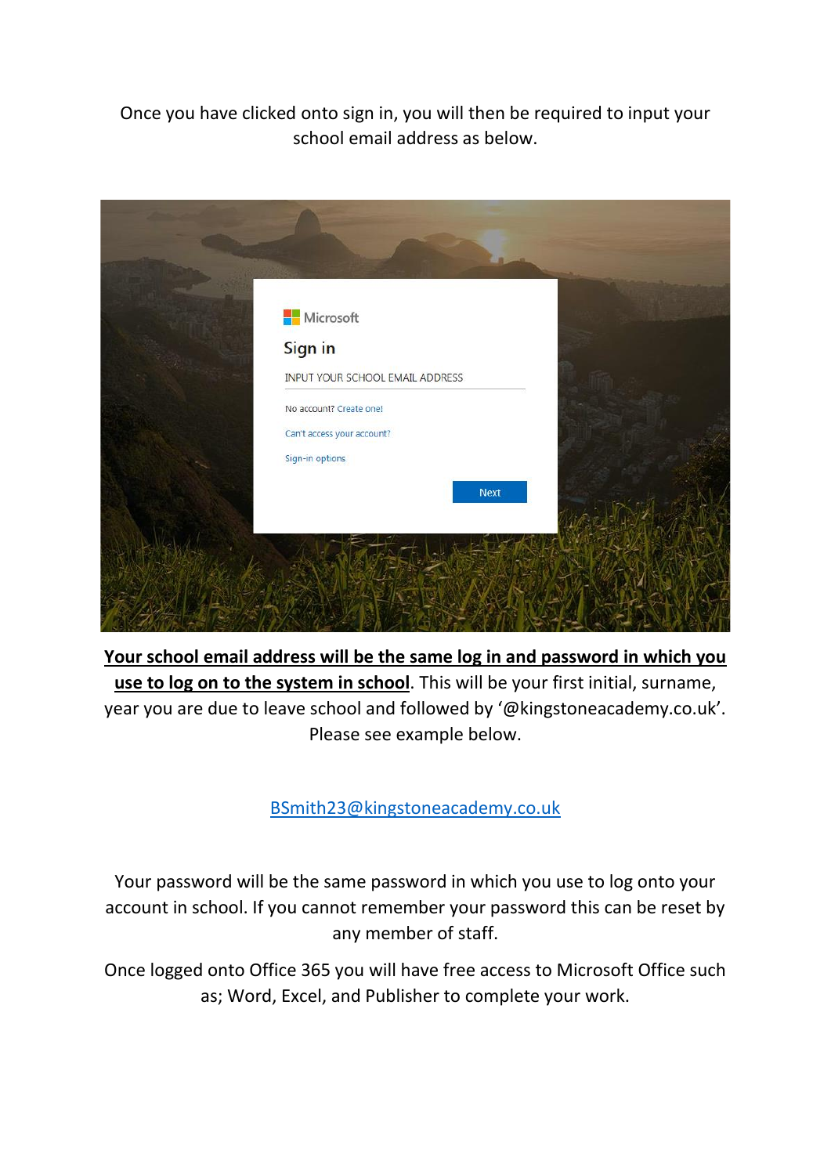Once you have clicked onto sign in, you will then be required to input your school email address as below.



**Your school email address will be the same log in and password in which you use to log on to the system in school**. This will be your first initial, surname, year you are due to leave school and followed by '@kingstoneacademy.co.uk'. Please see example below.

[BSmith23@kingstoneacademy.co.uk](mailto:BSmith23@kingstoneacademy.co.uk)

Your password will be the same password in which you use to log onto your account in school. If you cannot remember your password this can be reset by any member of staff.

Once logged onto Office 365 you will have free access to Microsoft Office such as; Word, Excel, and Publisher to complete your work.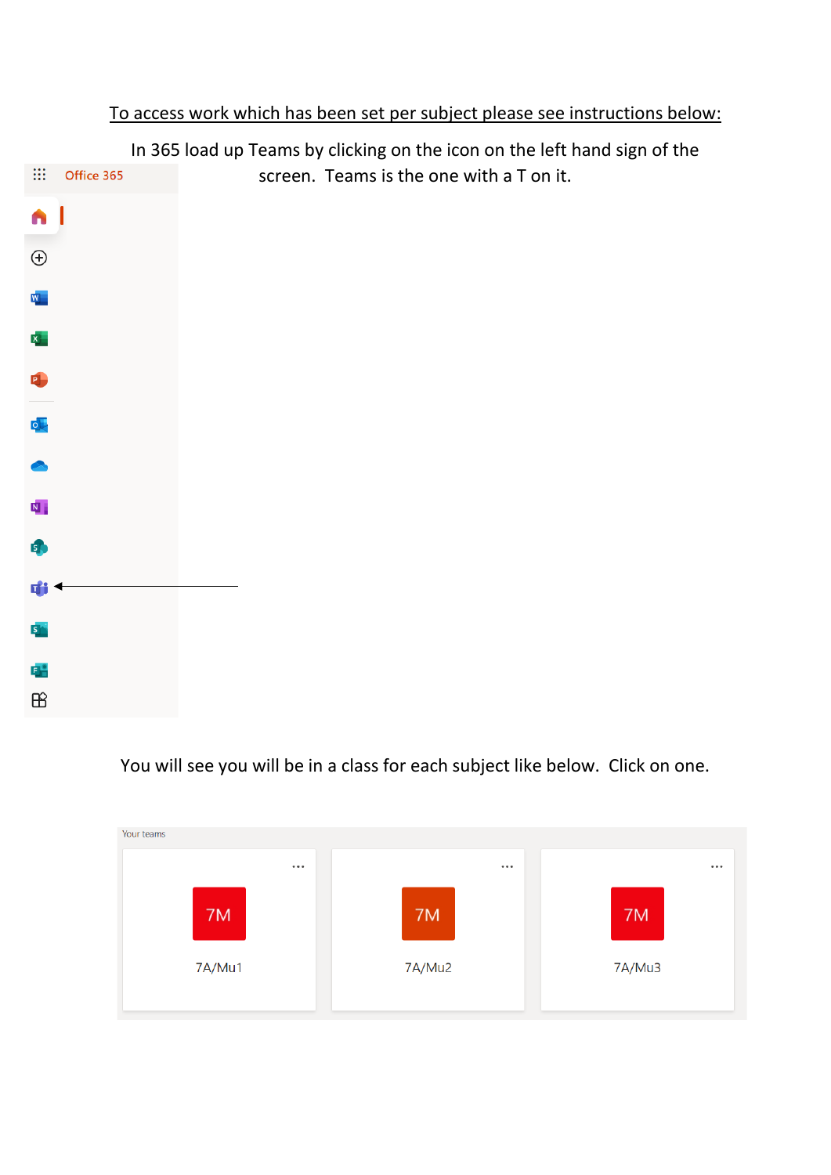|                           |            |  | In 365 load up Teams by clicking on the icon on the left hand sign of the |  |  |
|---------------------------|------------|--|---------------------------------------------------------------------------|--|--|
| $\mathop{\mathbb{H}}$     | Office 365 |  | screen. Teams is the one with a T on it.                                  |  |  |
| A                         |            |  |                                                                           |  |  |
| $\bigoplus$               |            |  |                                                                           |  |  |
| W.                        |            |  |                                                                           |  |  |
| $\mathbf{x}_\parallel$    |            |  |                                                                           |  |  |
| P.                        |            |  |                                                                           |  |  |
| $\overline{\mathsf{p}}$ . |            |  |                                                                           |  |  |
|                           |            |  |                                                                           |  |  |
| $\overline{\mathbf{N}}$ . |            |  |                                                                           |  |  |
| 5                         |            |  |                                                                           |  |  |
| Ф                         |            |  |                                                                           |  |  |
| S.                        |            |  |                                                                           |  |  |
| 다                         |            |  |                                                                           |  |  |
| $\mathbb B$               |            |  |                                                                           |  |  |

## To access work which has been set per subject please see instructions below:

You will see you will be in a class for each subject like below. Click on one.